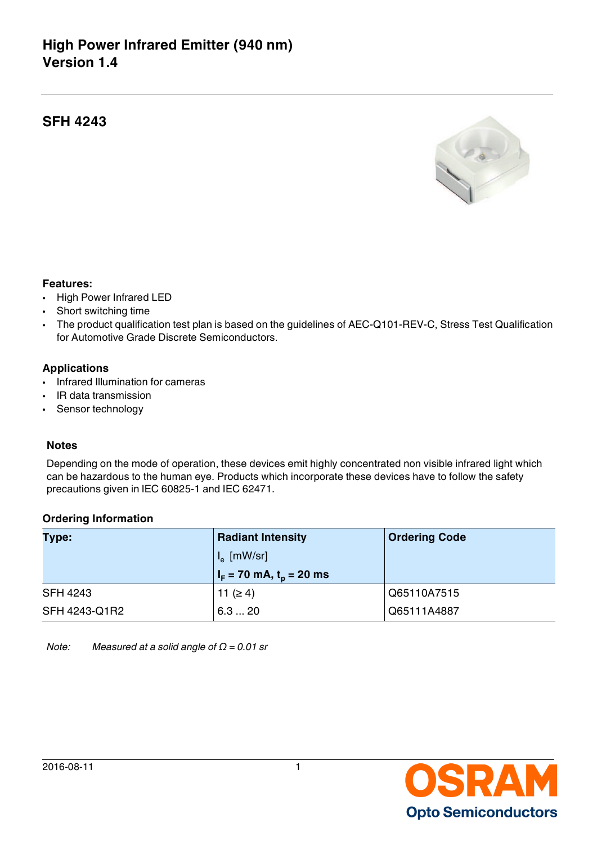# **High Power Infrared Emitter (940 nm) Version 1.4**

## **SFH 4243**



#### **Features:**

- High Power Infrared LED
- Short switching time
- The product qualification test plan is based on the guidelines of AEC-Q101-REV-C, Stress Test Qualification for Automotive Grade Discrete Semiconductors.

### **Applications**

- Infrared Illumination for cameras
- IR data transmission
- Sensor technology

#### **Notes**

Depending on the mode of operation, these devices emit highly concentrated non visible infrared light which can be hazardous to the human eye. Products which incorporate these devices have to follow the safety precautions given in IEC 60825-1 and IEC 62471.

### **Ordering Information**

| Type:           | <b>Radiant Intensity</b>              | <b>Ordering Code</b> |
|-----------------|---------------------------------------|----------------------|
|                 | $I_{\alpha}$ [mW/sr]                  |                      |
|                 | $I_F$ = 70 mA, t <sub>p</sub> = 20 ms |                      |
| <b>SFH 4243</b> | 11 ( $\geq 4$ )                       | Q65110A7515          |
| SFH 4243-Q1R2   | 6.3  20                               | Q65111A4887          |

*Note: Measured at a solid angle of Ω = 0.01 sr*

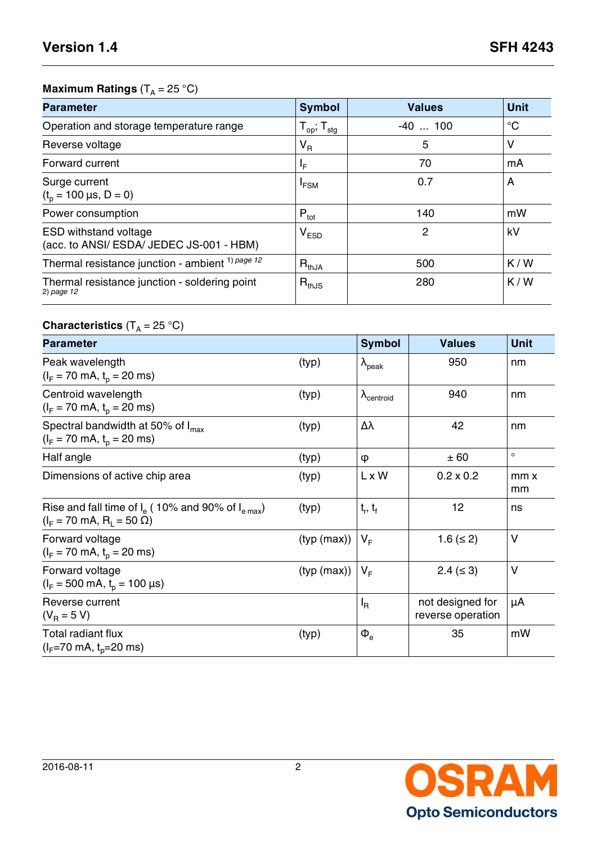# **Maximum Ratings** (T<sub>A</sub> = 25 °C)

| <b>Parameter</b>                                                         | <b>Symbol</b>                            | <b>Values</b>  | <b>Unit</b> |
|--------------------------------------------------------------------------|------------------------------------------|----------------|-------------|
| Operation and storage temperature range                                  | ${\sf T}_{\sf op}$ ; ${\sf T}_{\sf stg}$ | $-40$ 100      | $^{\circ}C$ |
| Reverse voltage                                                          | $V_R$                                    | 5              | $\vee$      |
| Forward current                                                          | ΙF                                       | 70             | mA          |
| Surge current<br>$(tp = 100 \,\mu s, D = 0)$                             | $I_{FSM}$                                | 0.7            | A           |
| Power consumption                                                        | $P_{\text{tot}}$                         | 140            | mW          |
| <b>ESD withstand voltage</b><br>(acc. to ANSI/ ESDA/ JEDEC JS-001 - HBM) | $V_{ESD}$                                | $\overline{2}$ | kV          |
| Thermal resistance junction - ambient <sup>1) page 12</sup>              | $R_{thJA}$                               | 500            | K/W         |
| Thermal resistance junction - soldering point<br>$2)$ page 12            | $R_{thJS}$                               | 280            | K/W         |

# ${\bf Characteristics}$   $({\sf T}_{\sf A}\,{=}\,25\ {\rm ^oC})$

| <b>Parameter</b>                                                                                  |             | <b>Symbol</b>                 | <b>Values</b>                         | <b>Unit</b> |
|---------------------------------------------------------------------------------------------------|-------------|-------------------------------|---------------------------------------|-------------|
| Peak wavelength<br>$(I_F = 70 \text{ mA}, t_p = 20 \text{ ms})$                                   | (typ)       | $\lambda_{peak}$              | 950                                   | nm          |
| Centroid wavelength<br>$(I_F = 70 \text{ mA}, t_p = 20 \text{ ms})$                               | (typ)       | $\lambda$ <sub>centroid</sub> | 940                                   | nm          |
| Spectral bandwidth at 50% of $I_{max}$<br>$(I_F = 70 \text{ mA}, t_p = 20 \text{ ms})$            | (typ)       | Δλ                            | 42                                    | nm          |
| Half angle                                                                                        | (typ)       | Φ                             | ± 60                                  | $\circ$     |
| Dimensions of active chip area                                                                    | (typ)       | L x W                         | $0.2 \times 0.2$                      | mm x<br>mm  |
| Rise and fall time of $Ie$ (10% and 90% of $Ie max$ )<br>$(I_F = 70 \text{ mA}, R_1 = 50 \Omega)$ | (typ)       | $t_r, t_f$                    | 12                                    | ns          |
| Forward voltage<br>$(I_F = 70 \text{ mA}, t_p = 20 \text{ ms})$                                   | (typ (max)) | $V_{F}$                       | 1.6 ( $\leq$ 2)                       | V           |
| Forward voltage<br>$(I_F = 500 \text{ mA}, t_o = 100 \text{ }\mu\text{s})$                        | (typ (max)) | $V_{F}$                       | $2.4 \leq 3$                          | V           |
| Reverse current<br>$(V_B = 5 V)$                                                                  |             | <sup>I</sup> R                | not designed for<br>reverse operation | μA          |
| Total radiant flux<br>$(l_F=70 \text{ mA}, t_p=20 \text{ ms})$                                    | (typ)       | $\Phi_{\rm e}$                | 35                                    | mW          |

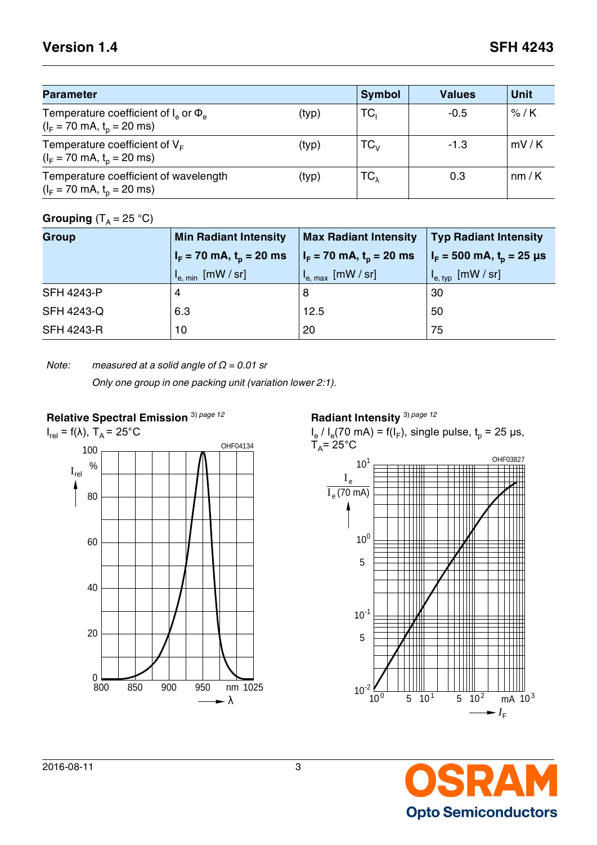# **Version 1.4 SFH 4243**

| <b>Parameter</b>                                                                             |       | <b>Symbol</b>              | <b>Values</b> | <b>Unit</b> |
|----------------------------------------------------------------------------------------------|-------|----------------------------|---------------|-------------|
| Temperature coefficient of $I_a$ or $\Phi_a$<br>$(I_F = 70 \text{ mA}, t_p = 20 \text{ ms})$ | (typ) | TC,                        | $-0.5$        | $%$ /K      |
| Temperature coefficient of $V_F$<br>$(I_F = 70 \text{ mA}, t_p = 20 \text{ ms})$             | (typ) | $\mathsf{TC}_{\mathsf{V}}$ | $-1.3$        | mV/K        |
| Temperature coefficient of wavelength<br>$(I_F = 70 \text{ mA}, t_p = 20 \text{ ms})$        | (typ) | ТС $_{\lambda}$            | 0.3           | nm/K        |

# $Grouping (T_A = 25 °C)$

| <b>Group</b>      | <b>Min Radiant Intensity</b>                                             | <b>Max Radiant Intensity</b>                                                     | <b>Typ Radiant Intensity</b>                                            |
|-------------------|--------------------------------------------------------------------------|----------------------------------------------------------------------------------|-------------------------------------------------------------------------|
|                   | $I_F$ = 70 mA, $t_o$ = 20 ms                                             | $I_F = 70$ mA, $t_p = 20$ ms                                                     | $I_F = 500$ mA, $t_p = 25$ µs                                           |
|                   | $\Pi_{\mathsf{e}, \; \mathsf{min}} \; [\mathsf{mW} \, / \, \mathsf{sr}]$ | $\mathsf{U}_{\mathsf{e},\, \mathsf{max}}\ \mathsf{[mW} \mathbin{/} \mathsf{sr}]$ | $\mathsf{U}_{\mathsf{e},\,\mathsf{typ}}\;[\mathsf{mW\,}/\,\mathsf{sr}]$ |
| <b>SFH 4243-P</b> | 4                                                                        | 8                                                                                | 30                                                                      |
| <b>SFH 4243-Q</b> | 6.3                                                                      | 12.5                                                                             | 50                                                                      |
| <b>SFH 4243-R</b> | 10                                                                       | 20                                                                               | 75                                                                      |

### *Note: measured at a solid angle of Ω = 0.01 sr*

*Only one group in one packing unit (variation lower 2:1).*

## **Relative Spectral Emission** 3) *[page 12](#page-11-2)*



**Radiant Intensity** 3) *[page 12](#page-11-2)*

 $I_e$  /  $I_e$ (70 mA) = f( $I_F$ ), single pulse,  $t_p$  = 25 µs, T<sub>A</sub>= 25°C



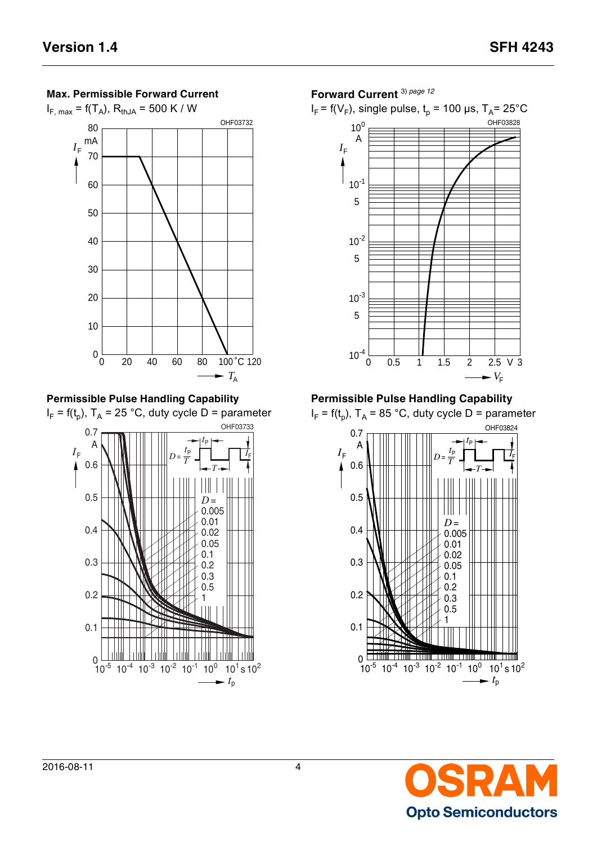

**Permissible Pulse Handling Capability**

I<sub>F</sub> = f(t<sub>p</sub>), T<sub>A</sub> = 25 °C, duty cycle D = parameter <sup>0</sup> -5 s -4 10 -3 10 -2 10 -1 10 <sup>0</sup> 10 <sup>1</sup> 10 <sup>2</sup> 10 10  $I_{\mathsf{F}}$ A  $\blacktriangleright$   $t_{p}$ OHF03733 *T t*   $D = \frac{P}{T}$ P  $\frac{t_{\mathsf{P}}}{t}$ *I* F 0.05 0.
5 0.
1 0.
3 0.005 0.01 0.02 *D* = 0.
2 0.
1 0.
2 0.
3 0.
4 0.
5 0.
6 0.
7 1

### **Forward Current** 3) *[page 12](#page-11-2)*





**Permissible Pulse Handling Capability**

I<sub>F</sub> = f(t<sub>p</sub>), T<sub>A</sub> = 85 °C, duty cycle D = parameter



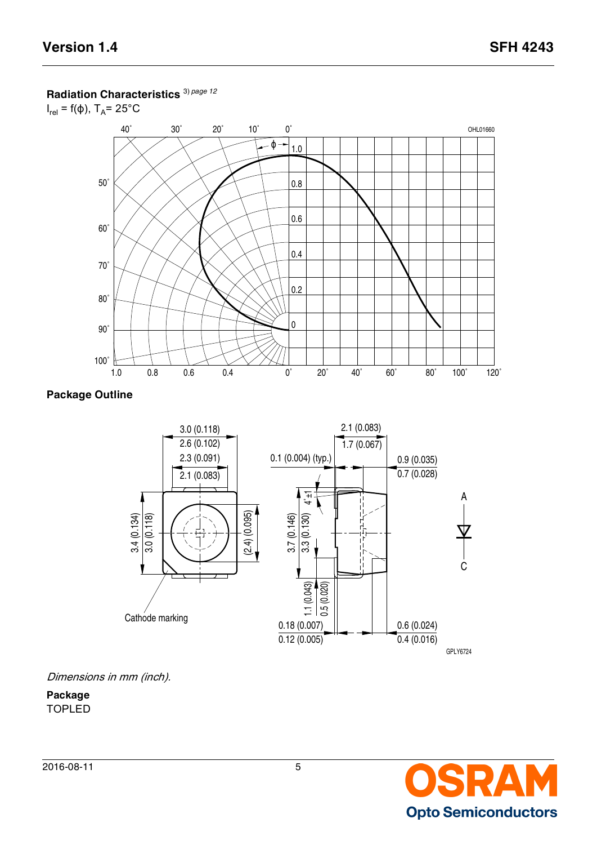## **Radiation Characteristics** 3) *[page 12](#page-11-2)*

 $I_{rel}$  = f( $\phi$ ), T<sub>A</sub>= 25°C



## **Package Outline**



Dimensions in mm (inch).

**Package** TOPLED

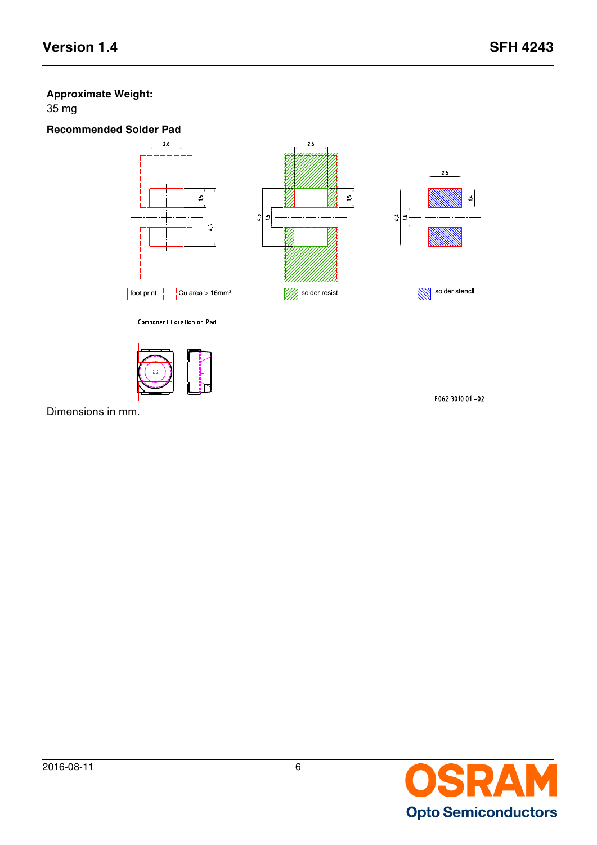# **Approximate Weight:**

35 mg





Dimensions in mm.

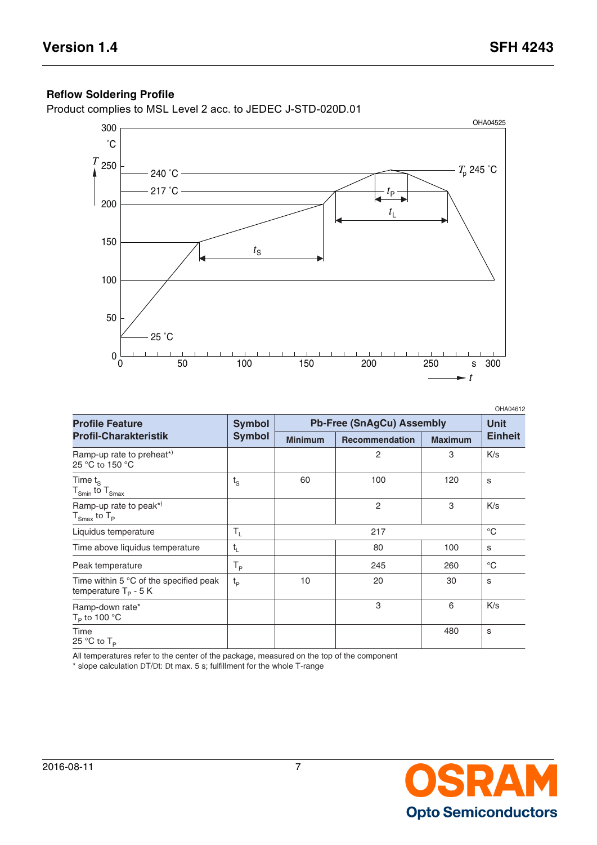# **Reflow Soldering Profile**

Product complies to MSL Level 2 acc. to JEDEC J-STD-020D.01



|                                                                             |                           |                                  |                       |                | OHA04612       |
|-----------------------------------------------------------------------------|---------------------------|----------------------------------|-----------------------|----------------|----------------|
| <b>Profile Feature</b>                                                      | <b>Symbol</b>             | <b>Pb-Free (SnAgCu) Assembly</b> |                       |                | Unit           |
| <b>Profil-Charakteristik</b>                                                | <b>Symbol</b>             | <b>Minimum</b>                   | <b>Recommendation</b> | <b>Maximum</b> | <b>Einheit</b> |
| Ramp-up rate to preheat*)<br>25 °C to 150 °C                                |                           |                                  | 2                     | 3              | K/s            |
| Time $t_{\rm S}$<br>$T_{Smin}$ to $T_{Smax}$                                | $t_{\rm S}$               | 60                               | 100                   | 120            | S              |
| Ramp-up rate to peak*)<br>$T_{\text{Smax}}$ to $T_{\text{P}}$               |                           |                                  | 2                     | 3              | K/s            |
| Liquidus temperature                                                        | $\mathsf{T}_{\mathsf{L}}$ |                                  | 217                   |                | $^{\circ}C$    |
| Time above liquidus temperature                                             | $t_{L}$                   |                                  | 80                    | 100            | S              |
| Peak temperature                                                            | Т <sub>р</sub>            |                                  | 245                   | 260            | $^{\circ}C$    |
| Time within 5 $^{\circ}$ C of the specified peak<br>temperature $T_P$ - 5 K | $t_{p}$                   | 10                               | 20                    | 30             | S              |
| Ramp-down rate*<br>$T_P$ to 100 °C                                          |                           |                                  | 3                     | 6              | K/s            |
| Time<br>25 °C to $T_P$                                                      |                           |                                  |                       | 480            | S              |

All temperatures refer to the center of the package, measured on the top of the component

\* slope calculation DT/Dt: Dt max. 5 s; fulfillment for the whole T-range

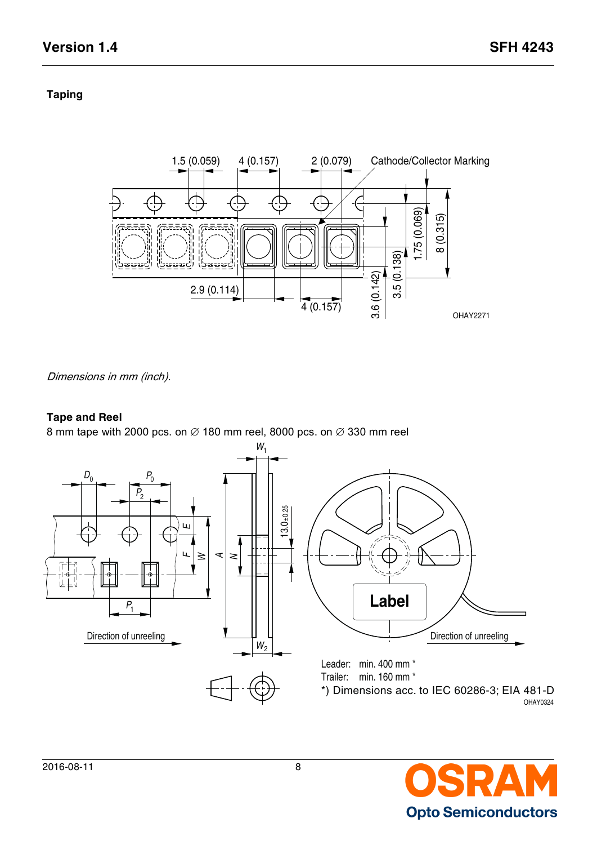# **Taping**



Dimensions in mm (inch).

## **Tape and Reel**



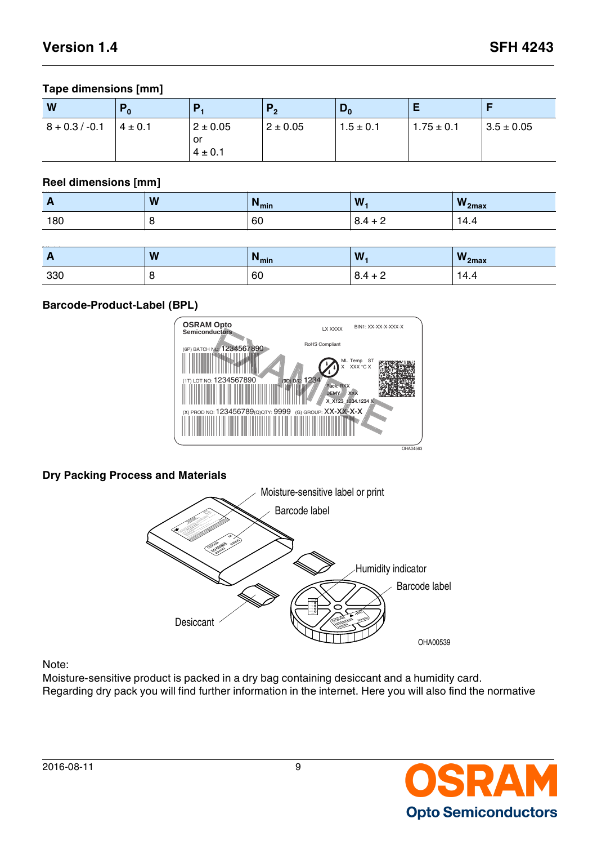## **Tape dimensions [mm]**

| W                | ΓO          | Р,                                | $P_{2}$      | $\mathbf{v}_0$ | c              |                |
|------------------|-------------|-----------------------------------|--------------|----------------|----------------|----------------|
| $8 + 0.3 / -0.1$ | $4 \pm 0.1$ | $2 \pm 0.05$<br>or<br>$4 \pm 0.1$ | $2 \pm 0.05$ | $1.5 \pm 0.1$  | $1.75 \pm 0.1$ | $3.5 \pm 0.05$ |

## **Reel dimensions [mm]**

| .   | W | $N_{min}$ | W.              | $W_{2max}$ |
|-----|---|-----------|-----------------|------------|
| 180 |   | 60        | ◡.⊤<br><u>_</u> | ⊥ר<br>4.4  |

| $\sim$ | W | $N_{min}$ | W.                                      | $W_{2max}$       |
|--------|---|-----------|-----------------------------------------|------------------|
| 330    |   | 60        | $\overline{ }$<br>ີ<br>. .<br>$0.7 + 1$ | <b>LL</b><br>4.4 |

## **Barcode-Product-Label (BPL)**



## **Dry Packing Process and Materials**



### Note:

Moisture-sensitive product is packed in a dry bag containing desiccant and a humidity card. Regarding dry pack you will find further information in the internet. Here you will also find the normative

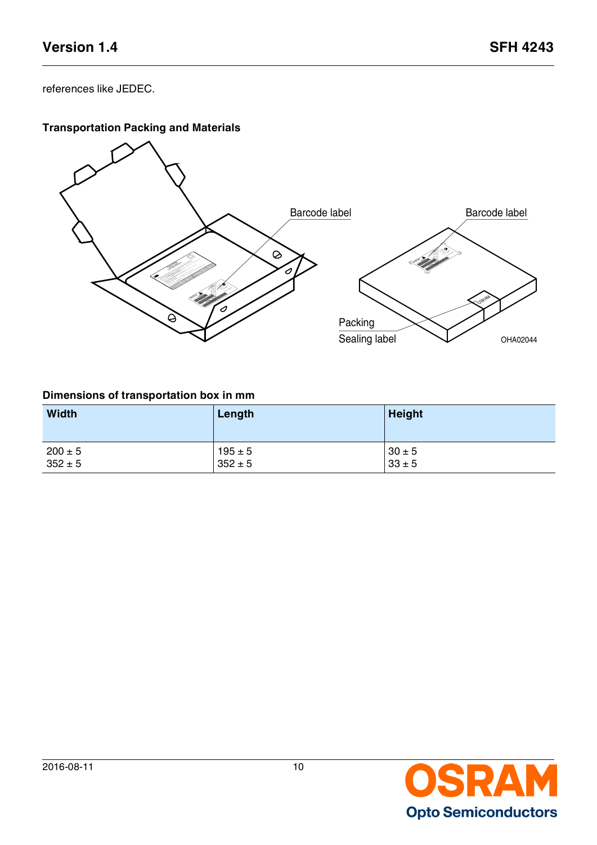references like JEDEC.

# **Transportation Packing and Materials**



## **Dimensions of transportation box in mm**

| <b>Width</b> | Length      | <b>Height</b> |
|--------------|-------------|---------------|
| $200 \pm 5$  | $195 \pm 5$ | $30 \pm 5$    |
| $352 \pm 5$  | $352 \pm 5$ | $33 \pm 5$    |

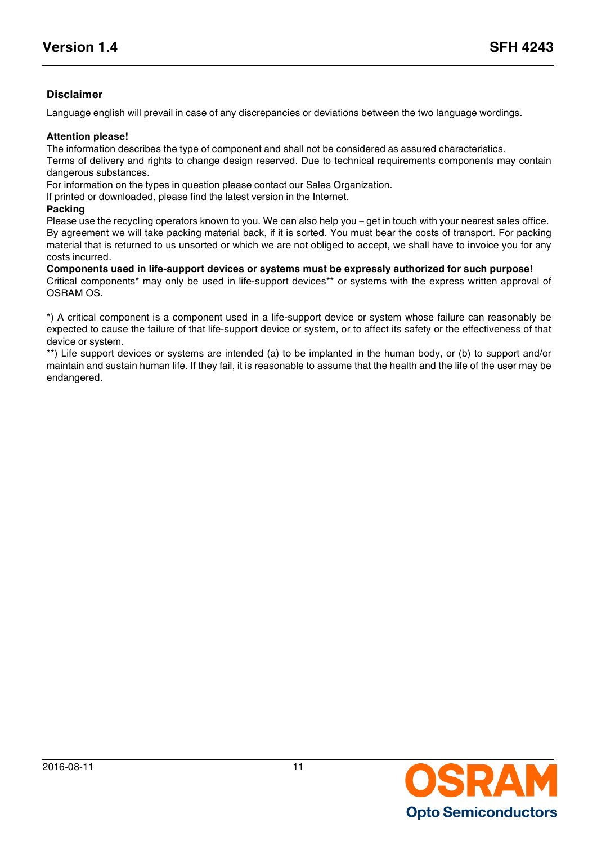## **Disclaimer**

Language english will prevail in case of any discrepancies or deviations between the two language wordings.

#### **Attention please!**

The information describes the type of component and shall not be considered as assured characteristics.

Terms of delivery and rights to change design reserved. Due to technical requirements components may contain dangerous substances.

For information on the types in question please contact our Sales Organization.

If printed or downloaded, please find the latest version in the Internet.

#### **Packing**

Please use the recycling operators known to you. We can also help you – get in touch with your nearest sales office. By agreement we will take packing material back, if it is sorted. You must bear the costs of transport. For packing material that is returned to us unsorted or which we are not obliged to accept, we shall have to invoice you for any costs incurred.

**Components used in life-support devices or systems must be expressly authorized for such purpose!** Critical components\* may only be used in life-support devices\*\* or systems with the express written approval of OSRAM OS.

\*) A critical component is a component used in a life-support device or system whose failure can reasonably be expected to cause the failure of that life-support device or system, or to affect its safety or the effectiveness of that device or system.

\*\*) Life support devices or systems are intended (a) to be implanted in the human body, or (b) to support and/or maintain and sustain human life. If they fail, it is reasonable to assume that the health and the life of the user may be endangered.

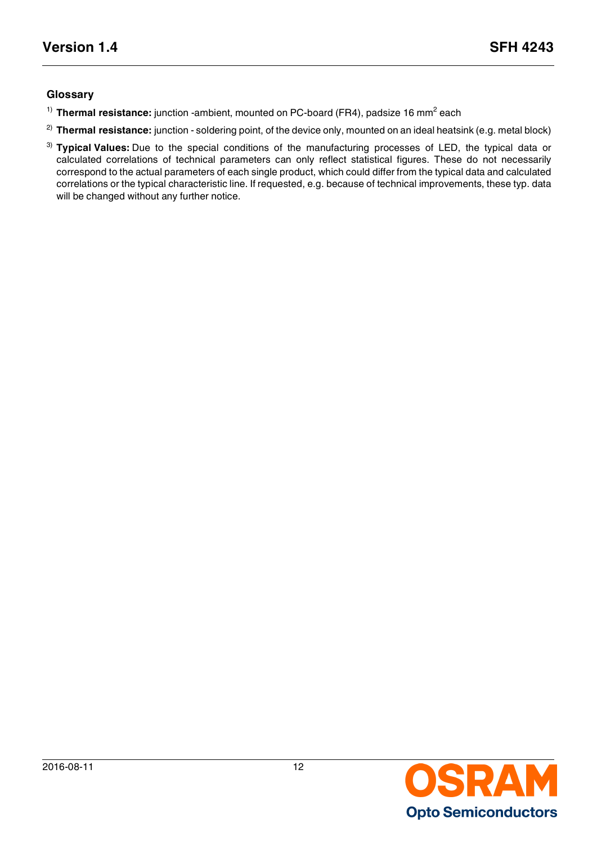## **Glossary**

- <span id="page-11-0"></span><sup>1)</sup> Thermal resistance: junction -ambient, mounted on PC-board (FR4), padsize 16 mm<sup>2</sup> each
- <span id="page-11-1"></span><sup>2)</sup> Thermal resistance: junction - soldering point, of the device only, mounted on an ideal heatsink (e.g. metal block)
- <span id="page-11-2"></span>3) **Typical Values:** Due to the special conditions of the manufacturing processes of LED, the typical data or calculated correlations of technical parameters can only reflect statistical figures. These do not necessarily correspond to the actual parameters of each single product, which could differ from the typical data and calculated correlations or the typical characteristic line. If requested, e.g. because of technical improvements, these typ. data will be changed without any further notice.